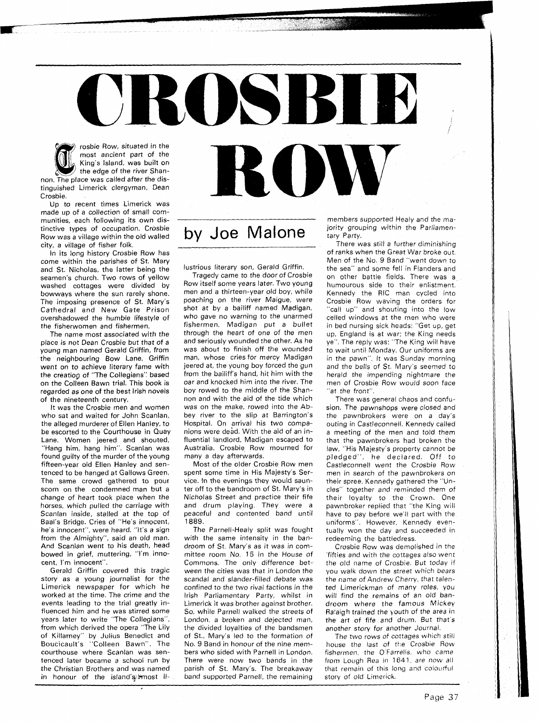## ROSB rosbie Row, situated in the most ancient part of the **K**U King's Island, was built on the edge of the river Shan-

non. The place was called after the distinguished Limerick clergyman, Dean Crosbie.

Up to recent times Limerick was made up of a collection of small communities, each following its own distinctive types of occupation. Crosbie Row was a village within the old walled city, a village of fisher folk.

In its long history Crosbie Row has come within the parishes of St. Mary and St. Nicholas, the latter being the seamen's church. Two rows of yellow washed cottages were divided by bowways where the sun rarely shone. The imposing presence of St. Mary's Cathedral and New Gate Prison overshadowed the humble lifestyle of the fisherwomen and fishermen.

The name most associated with the place is not Dean Crosbie but that of a young man named Gerald Griffin, from the neighbouring Bow Lane. Griffin went on to achieve literary fame with the creation of "The Collegians" based on the Colleen Bawn trial. This book is regarded as one of the best lrish novels of the nineteenth century.

It was the Crosbie men and women who sat and waited for John Scanlan. the alleged murderer of Ellen Hanley, to be escorted to the Courthouse in Quay Lane. Women jeered and shouted, "Hang him, hang him". Scanlan was found guilty of the murder of the young fifteen-year old Ellen Hanley and sentenced to be hanged at Gallows Green. The same crowd gathered to pour scorn on the condemned man but a change of heart took place when the horses, which pulled the carriage with Scanlan inside, stalled at the top of Baal's Bridge. Cries of "He's innocent, he's innocent", were heard. "It's a sign from the Almighty", said an old man. And Scanlan went to his death, head bowed in grief, muttering, "I'm innocent, I'm innocent".

Gerald Griffin covered this tragic story as a young journalist for the Limerick newspaper for which he worked at the time. The crime and the events leading to the trial greatly influenced him and he was stirred some years later to write "The Collegians", from which derived the opera "The Lily of Killarney" by Julius Benedict and Boucicault's "Colleen Bawn". The courthouse where Scanlan was sentenced later became a school run by the Christian Brothers and was named in honour of the island's \*most il-

## by Joe Malone

lustrious literary son, Gerald Griffin.

Tragedy came to the door of Crosbie Row itself some years later. Two young men and a thirteen-year old boy, while poaching on the river Maigue, were shot at by a bailiff named Madigan, who gave no warning to the unarmed fishermen. Madigan put a bullet through the heart of one of the men and seriously wounded the other. As he was about to finish off the wounded man, whose cries for mercy Madigan jeered at, the young boy forced the gun from the bailiff's hand, hit him with the oar and knocked him into the river. The boy rowed to the middle of the Shannon and with the aid of the tide which was on the make, rowed into the Abbey river to the slip at Barrington's Hospital. On arrival his two companions were dead. With the aid of an influential landlord, Madigan escaped to Australia. Crosbie Row mourned for many a day afterwards.

Most of the older Crosbie Row men spent some time in His Majesty's Service. In the evenings they would saunter off to the bandroom of St. Mary's in Nicholas Street and practice their fife and drum playing. They were a peaceful and contented band until 1889.

The Parnell-Healy split was fought with the same intensity in the bandroom of St. Mary's as it was in committee room No. 15 in the House of Commons. The only difference between the cities was that in London the scandal and slander-filled debate was confined to the two rival factions in the lrish Parliamentary Party, whilst in Limerick it was brother against brother. So, while Parnell walked the streets of London, a broken and dejected man, the divided loyalties of the bandsmen of St., Mary's led to the formation of No. 9 Band in honour of the nine members who sided with Parnell in London. There were now two bands in the parish of St. Mary's. The breakaway band supported Parnell, the remaining

members supported Healy and the majority grouping within the Parliamentary Party.

There was still a further diminishing of ranks when the Great War broke out. Men of the No. 9 Band "went down to the sea" and some fell in Flanders and on other battle fields. There was a humourous side to their enlistment. Kennedy the RIC man cycled into Crosbie Row waving the orders for "call up" and shouting into the low celled windows at the men who were in bed nursing sick heads: "Get up, get up, England is at war: the King needs ye". The reply was: "The King will have to wait until Monday. Our uniforms are in the pawn". It was Sunday morning and the bells of St. Mary's seemed to herald the impending nightmare the men of Crosbie Row would soon face "at the front".

There was general chaos and confusion. The pawnshops were closed and the pawnbrokers were on a day's outing in Castleconnell. Kennedy called a meeting of the men and told them that the pawnbrokers had broken the law, "His Majesty's property cannot be pledged", he declared. Off to Castleconnell went the Crosbie Row men in search of the pawnbrokers on their spree. Kennedy gathered the "Uncles" together and reminded them of their loyalty to the Crown. One pawnbroker replied that "the King will have to pay before we'll part with the uniforms". However, Kennedy eventually won the day and succeeded in redeeming the battledress.

Crosbie Row was demolished in the fifties and with the cottages also went the old name of Crosbie. But today if you walk down the street which bears the name of Andrew Cherry, that talented Limerickman of many roles, you will find the remains of an old bandroom where the famous Mickey Ralaigh trained the youth of the area in the art of fife and drum. But that's another story for another Journal

The two rows of cottages which still house the last of the Crosbie Row fishermen, the O'Farrells, who came from Lough Rea in 1641, are now all that remain of this long and colourful story of old Limerick.